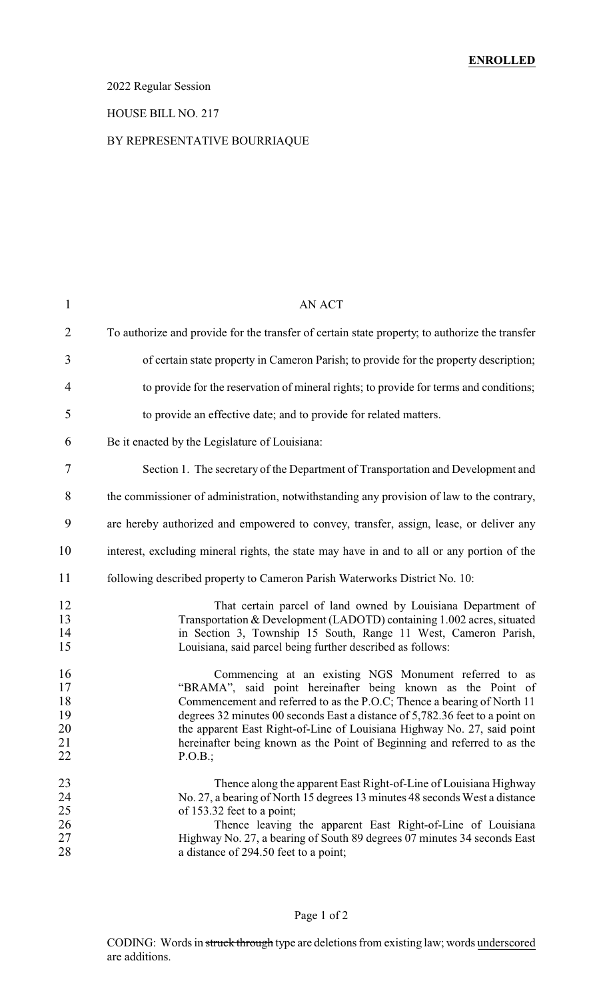# 2022 Regular Session

#### HOUSE BILL NO. 217

#### BY REPRESENTATIVE BOURRIAQUE

| 1                                      | AN ACT                                                                                                                                                                                                                                                                                                                                                                                                                                            |
|----------------------------------------|---------------------------------------------------------------------------------------------------------------------------------------------------------------------------------------------------------------------------------------------------------------------------------------------------------------------------------------------------------------------------------------------------------------------------------------------------|
| $\overline{2}$                         | To authorize and provide for the transfer of certain state property, to authorize the transfer                                                                                                                                                                                                                                                                                                                                                    |
| 3                                      | of certain state property in Cameron Parish; to provide for the property description;                                                                                                                                                                                                                                                                                                                                                             |
| $\overline{4}$                         | to provide for the reservation of mineral rights; to provide for terms and conditions;                                                                                                                                                                                                                                                                                                                                                            |
| 5                                      | to provide an effective date; and to provide for related matters.                                                                                                                                                                                                                                                                                                                                                                                 |
| 6                                      | Be it enacted by the Legislature of Louisiana:                                                                                                                                                                                                                                                                                                                                                                                                    |
| 7                                      | Section 1. The secretary of the Department of Transportation and Development and                                                                                                                                                                                                                                                                                                                                                                  |
| 8                                      | the commissioner of administration, notwithstanding any provision of law to the contrary,                                                                                                                                                                                                                                                                                                                                                         |
| 9                                      | are hereby authorized and empowered to convey, transfer, assign, lease, or deliver any                                                                                                                                                                                                                                                                                                                                                            |
| 10                                     | interest, excluding mineral rights, the state may have in and to all or any portion of the                                                                                                                                                                                                                                                                                                                                                        |
| 11                                     | following described property to Cameron Parish Waterworks District No. 10:                                                                                                                                                                                                                                                                                                                                                                        |
| 12<br>13<br>14<br>15                   | That certain parcel of land owned by Louisiana Department of<br>Transportation & Development (LADOTD) containing 1.002 acres, situated<br>in Section 3, Township 15 South, Range 11 West, Cameron Parish,<br>Louisiana, said parcel being further described as follows:                                                                                                                                                                           |
| 16<br>17<br>18<br>19<br>20<br>21<br>22 | Commencing at an existing NGS Monument referred to as<br>"BRAMA", said point hereinafter being known as the Point of<br>Commencement and referred to as the P.O.C; Thence a bearing of North 11<br>degrees 32 minutes 00 seconds East a distance of 5,782.36 feet to a point on<br>the apparent East Right-of-Line of Louisiana Highway No. 27, said point<br>hereinafter being known as the Point of Beginning and referred to as the<br>P.O.B.; |
| 23<br>24<br>25<br>26<br>27<br>28       | Thence along the apparent East Right-of-Line of Louisiana Highway<br>No. 27, a bearing of North 15 degrees 13 minutes 48 seconds West a distance<br>of 153.32 feet to a point;<br>Thence leaving the apparent East Right-of-Line of Louisiana<br>Highway No. 27, a bearing of South 89 degrees 07 minutes 34 seconds East<br>a distance of 294.50 feet to a point;                                                                                |